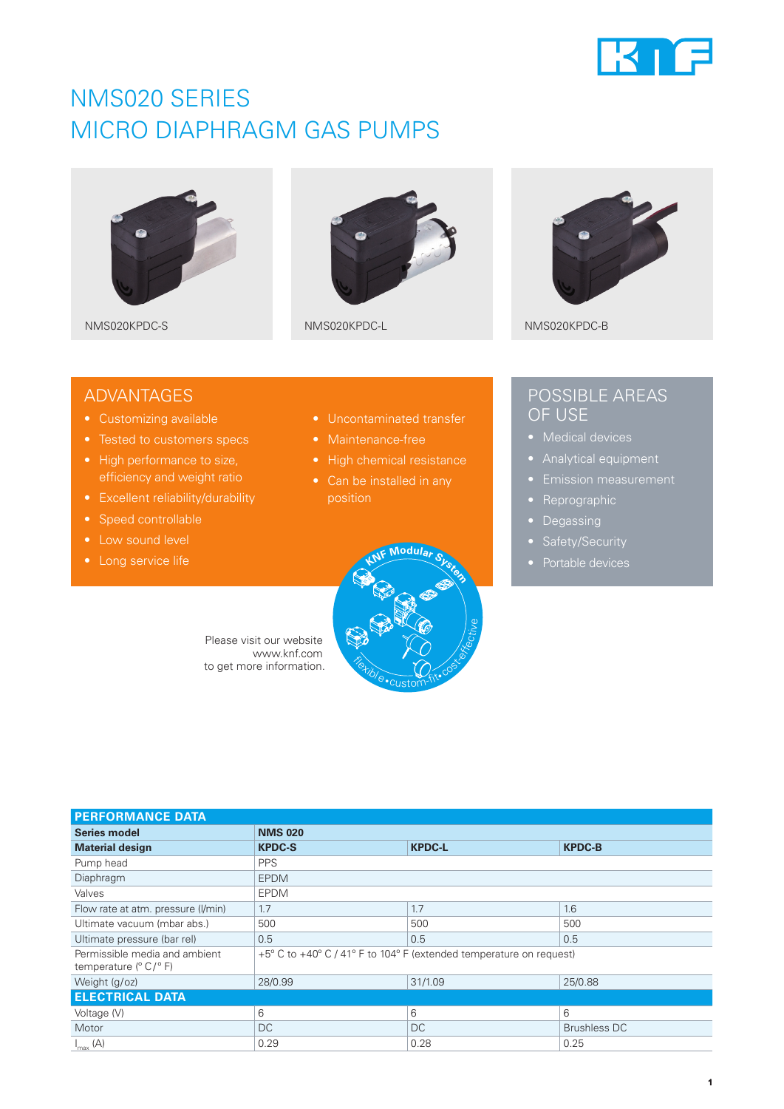

## NMS020 SERIES MICRO DIAPHRAGM GAS PUMPS







NMS020KPDC-S NMS020KPDC-L NMS020KPDC-L

### ADVANTAGES

- Customizing available
- 
- High performance to size, efficiency and weight ratio
- Excellent reliability/durability
- Speed controllable
- Low sound level
- 
- Uncontaminated transfer
- 
- 
- position



## POSSIBLE AREAS OF USE

- 
- 
- 
- Reprographic
- Degassing
- 
- 

Please visit our website www.knf.com to get more information.

| <b>PERFORMANCE DATA</b>                                              |                                                                     |               |                     |
|----------------------------------------------------------------------|---------------------------------------------------------------------|---------------|---------------------|
| Series model                                                         | <b>NMS 020</b>                                                      |               |                     |
| <b>Material design</b>                                               | <b>KPDC-S</b>                                                       | <b>KPDC-L</b> | <b>KPDC-B</b>       |
| Pump head                                                            | <b>PPS</b>                                                          |               |                     |
| Diaphragm                                                            | <b>EPDM</b>                                                         |               |                     |
| Valves                                                               | <b>EPDM</b>                                                         |               |                     |
| Flow rate at atm. pressure (I/min)                                   | 1.7                                                                 | 1.7           | 1.6                 |
| Ultimate vacuum (mbar abs.)                                          | 500                                                                 | 500           | 500                 |
| Ultimate pressure (bar rel)                                          | 0.5                                                                 | 0.5           | 0.5                 |
| Permissible media and ambient<br>temperature $(^{\circ}C/^{\circ}F)$ | +5° C to +40° C / 41° F to 104° F (extended temperature on request) |               |                     |
| Weight (g/oz)                                                        | 28/0.99                                                             | 31/1.09       | 25/0.88             |
| <b>ELECTRICAL DATA</b>                                               |                                                                     |               |                     |
| Voltage (V)                                                          | 6                                                                   | 6             | 6                   |
| Motor                                                                | <b>DC</b>                                                           | DC            | <b>Brushless DC</b> |
| $I_{\text{max}}(A)$                                                  | 0.29                                                                | 0.28          | 0.25                |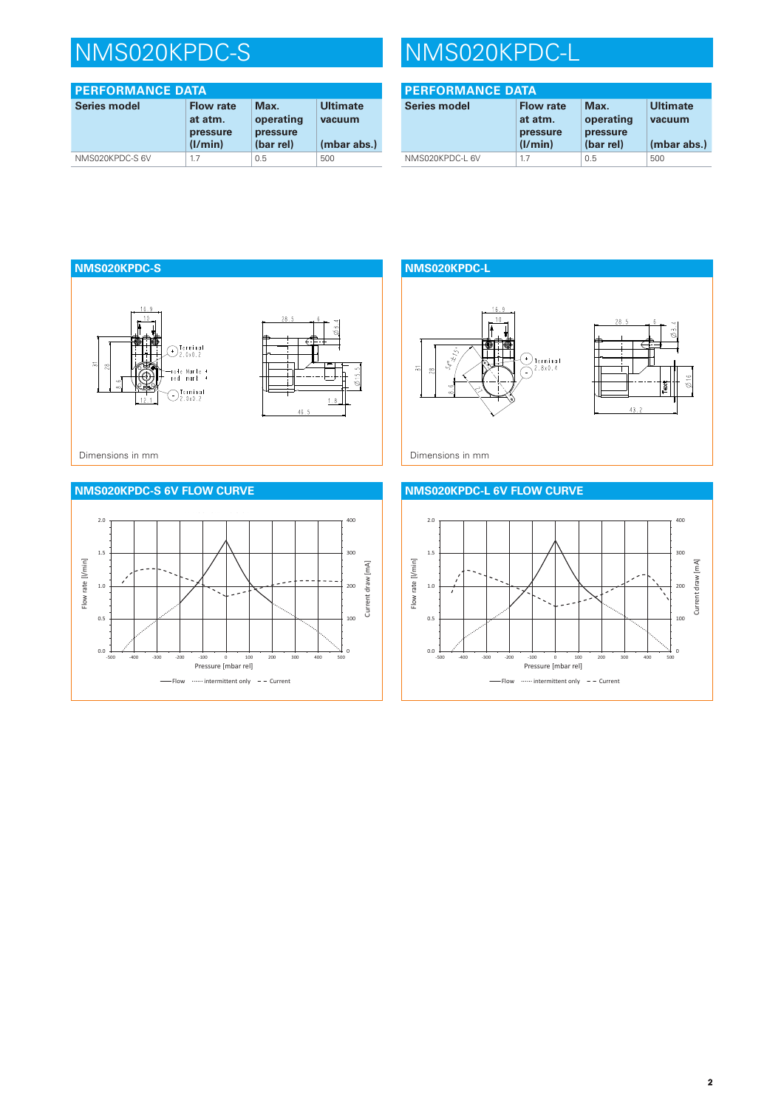# NMS020KPDC-S NMS020KPDC-L

| <b>PERFORMANCE DATA</b> |                                         |                               |                           |
|-------------------------|-----------------------------------------|-------------------------------|---------------------------|
| <b>Series model</b>     | <b>Flow rate</b><br>at atm.<br>pressure | Max.<br>operating<br>pressure | <b>Ultimate</b><br>vacuum |
|                         | (I/min)                                 | (bar rel)                     | (mbar abs.)               |
| NMS020KPDC-S6V          | 1.7                                     | 0.5                           | 500                       |

| <b>PERFORMANCE DATA</b> |                                                    |                                            |                                          |
|-------------------------|----------------------------------------------------|--------------------------------------------|------------------------------------------|
| <b>Series model</b>     | <b>Flow rate</b><br>at atm.<br>pressure<br>(1/min) | Max.<br>operating<br>pressure<br>(bar rel) | <b>Ultimate</b><br>vacuum<br>(mbar abs.) |
| NMS020KPDC-L 6V         | 1.7                                                | 0.5                                        | 500                                      |









#### **NMS020KPDC-L 6V FLOW CURVE**

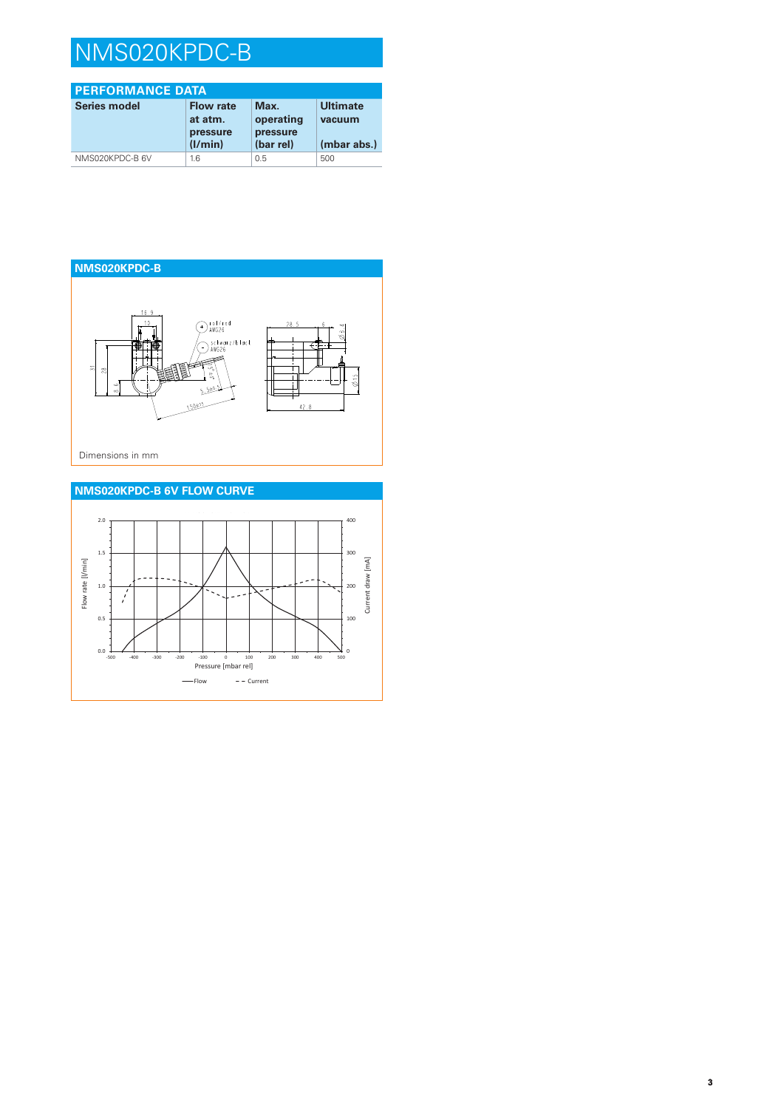## NMS020KPDC-B

| <b>PERFORMANCE DATA</b> |                                                    |                                            |                                          |  |
|-------------------------|----------------------------------------------------|--------------------------------------------|------------------------------------------|--|
| Series model            | <b>Flow rate</b><br>at atm.<br>pressure<br>(I/min) | Max.<br>operating<br>pressure<br>(bar rel) | <b>Ultimate</b><br>vacuum<br>(mbar abs.) |  |
| NMS020KPDC-B 6V         | 1.6                                                | 0.5                                        | 500                                      |  |
|                         |                                                    |                                            |                                          |  |